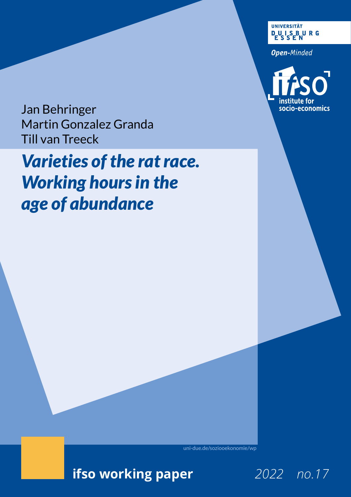**UNIVERSITÄT DUISBURG** 

**Open-Minded** 



Jan Behringer Martin Gonzalez Granda Till van Treeck

# *Varieties of the rat race. Working hours in the age of abundance*

[uni-due.de/soziooekonomie/wp](http://uni-due.de/soziooekonomie/wp) [uni-due.de/soziooekonomie/w](http://uni-due.de/soziooekonomie/wp)p

**ifso working paper ifso working paper** *2019 no.5*

*2022 no.17*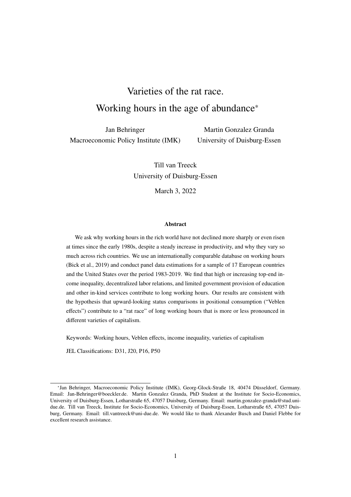# Varieties of the rat race. Working hours in the age of abundance\*

Jan Behringer Macroeconomic Policy Institute (IMK)

Martin Gonzalez Granda University of Duisburg-Essen

Till van Treeck University of Duisburg-Essen

March 3, 2022

#### Abstract

We ask why working hours in the rich world have not declined more sharply or even risen at times since the early 1980s, despite a steady increase in productivity, and why they vary so much across rich countries. We use an internationally comparable database on working hours (Bick et al., 2019) and conduct panel data estimations for a sample of 17 European countries and the United States over the period 1983-2019. We find that high or increasing top-end income inequality, decentralized labor relations, and limited government provision of education and other in-kind services contribute to long working hours. Our results are consistent with the hypothesis that upward-looking status comparisons in positional consumption ("Veblen effects") contribute to a "rat race" of long working hours that is more or less pronounced in different varieties of capitalism.

Keywords: Working hours, Veblen effects, income inequality, varieties of capitalism

JEL Classifications: D31, J20, P16, P50

<sup>\*</sup>Jan Behringer, Macroeconomic Policy Institute (IMK), Georg-Glock-Straße 18, 40474 Düsseldorf, Germany. Email: Jan-Behringer@boeckler.de. Martin Gonzalez Granda, PhD Student at the Institute for Socio-Economics, University of Duisburg-Essen, Lotharstraße 65, 47057 Duisburg, Germany. Email: martin.gonzalez-granda@stud.unidue.de. Till van Treeck, Institute for Socio-Economics, University of Duisburg-Essen, Lotharstraße 65, 47057 Duisburg, Germany. Email: till.vantreeck@uni-due.de. We would like to thank Alexander Busch and Daniel Flebbe for excellent research assistance.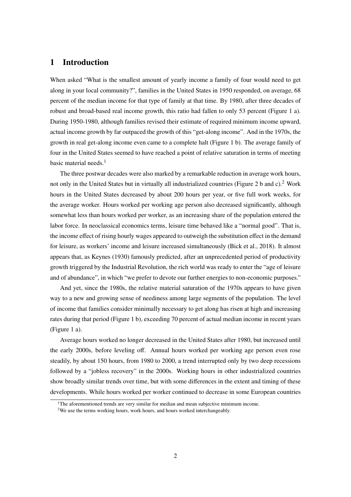## 1 Introduction

When asked "What is the smallest amount of yearly income a family of four would need to get along in your local community?", families in the United States in 1950 responded, on average, 68 percent of the median income for that type of family at that time. By 1980, after three decades of robust and broad-based real income growth, this ratio had fallen to only 53 percent (Figure 1 a). During 1950-1980, although families revised their estimate of required minimum income upward, actual income growth by far outpaced the growth of this "get-along income". And in the 1970s, the growth in real get-along income even came to a complete halt (Figure 1 b). The average family of four in the United States seemed to have reached a point of relative saturation in terms of meeting basic material needs. $<sup>1</sup>$ </sup>

The three postwar decades were also marked by a remarkable reduction in average work hours, not only in the United States but in virtually all industrialized countries (Figure 2 b and c).<sup>2</sup> Work hours in the United States decreased by about 200 hours per year, or five full work weeks, for the average worker. Hours worked per working age person also decreased significantly, although somewhat less than hours worked per worker, as an increasing share of the population entered the labor force. In neoclassical economics terms, leisure time behaved like a "normal good". That is, the income effect of rising hourly wages appeared to outweigh the substitution effect in the demand for leisure, as workers' income and leisure increased simultaneously (Bick et al., 2018). It almost appears that, as Keynes (1930) famously predicted, after an unprecedented period of productivity growth triggered by the Industrial Revolution, the rich world was ready to enter the "age of leisure and of abundance", in which "we prefer to devote our further energies to non-economic purposes."

And yet, since the 1980s, the relative material saturation of the 1970s appears to have given way to a new and growing sense of neediness among large segments of the population. The level of income that families consider minimally necessary to get along has risen at high and increasing rates during that period (Figure 1 b), exceeding 70 percent of actual median income in recent years (Figure 1 a).

Average hours worked no longer decreased in the United States after 1980, but increased until the early 2000s, before leveling off. Annual hours worked per working age person even rose steadily, by about 150 hours, from 1980 to 2000, a trend interrupted only by two deep recessions followed by a "jobless recovery" in the 2000s. Working hours in other industrialized countries show broadly similar trends over time, but with some differences in the extent and timing of these developments. While hours worked per worker continued to decrease in some European countries

 $1$ <sup>1</sup>The aforementioned trends are very similar for median and mean subjective minimum income.

<sup>&</sup>lt;sup>2</sup>We use the terms working hours, work hours, and hours worked interchangeably.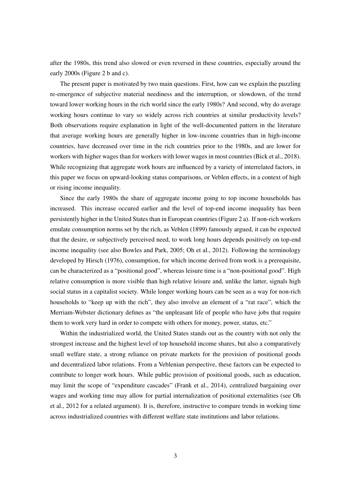after the 1980s, this trend also slowed or even reversed in these countries, especially around the early 2000s (Figure 2 b and c).

The present paper is motivated by two main questions. First, how can we explain the puzzling re-emergence of subjective material neediness and the interruption, or slowdown, of the trend toward lower working hours in the rich world since the early 1980s? And second, why do average working hours continue to vary so widely across rich countries at similar productivity levels? Both observations require explanation in light of the well-documented pattern in the literature that average working hours are generally higher in low-income countries than in high-income countries, have decreased over time in the rich countries prior to the 1980s, and are lower for workers with higher wages than for workers with lower wages in most countries (Bick et al., 2018). While recognizing that aggregate work hours are influenced by a variety of interrelated factors, in this paper we focus on upward-looking status comparisons, or Veblen effects, in a context of high or rising income inequality.

Since the early 1980s the share of aggregate income going to top income households has increased. This increase occured earlier and the level of top-end income inequality has been persistently higher in the United States than in European countries (Figure 2 a). If non-rich workers emulate consumption norms set by the rich, as Veblen (1899) famously argued, it can be expected that the desire, or subjectively perceived need, to work long hours depends positively on top-end income inequality (see also Bowles and Park, 2005; Oh et al., 2012). Following the terminology developed by Hirsch (1976), consumption, for which income derived from work is a prerequisite, can be characterized as a "positional good", whereas leisure time is a "non-positional good". High relative consumption is more visible than high relative leisure and, unlike the latter, signals high social status in a capitalist society. While longer working hours can be seen as a way for non-rich households to "keep up with the rich", they also involve an element of a "rat race", which the Merriam-Webster dictionary defines as "the unpleasant life of people who have jobs that require them to work very hard in order to compete with others for money, power, status, etc."

Within the industrialized world, the United States stands out as the country with not only the strongest increase and the highest level of top household income shares, but also a comparatively small welfare state, a strong reliance on private markets for the provision of positional goods and decentralized labor relations. From a Veblenian perspective, these factors can be expected to contribute to longer work hours. While public provision of positional goods, such as education, may limit the scope of "expenditure cascades" (Frank et al., 2014), centralized bargaining over wages and working time may allow for partial internalization of positional externalities (see Oh et al., 2012 for a related argument). It is, therefore, instructive to compare trends in working time across industrialized countries with different welfare state institutions and labor relations.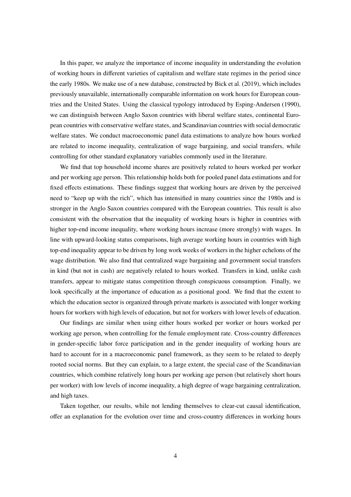In this paper, we analyze the importance of income inequality in understanding the evolution of working hours in different varieties of capitalism and welfare state regimes in the period since the early 1980s. We make use of a new database, constructed by Bick et al. (2019), which includes previously unavailable, internationally comparable information on work hours for European countries and the United States. Using the classical typology introduced by Esping-Andersen (1990), we can distinguish between Anglo Saxon countries with liberal welfare states, continental European countries with conservative welfare states, and Scandinavian countries with social democratic welfare states. We conduct macroeconomic panel data estimations to analyze how hours worked are related to income inequality, centralization of wage bargaining, and social transfers, while controlling for other standard explanatory variables commonly used in the literature.

We find that top household income shares are positively related to hours worked per worker and per working age person. This relationship holds both for pooled panel data estimations and for fixed effects estimations. These findings suggest that working hours are driven by the perceived need to "keep up with the rich", which has intensified in many countries since the 1980s and is stronger in the Anglo Saxon countries compared with the European countries. This result is also consistent with the observation that the inequality of working hours is higher in countries with higher top-end income inequality, where working hours increase (more strongly) with wages. In line with upward-looking status comparisons, high average working hours in countries with high top-end inequality appear to be driven by long work weeks of workers in the higher echelons of the wage distribution. We also find that centralized wage bargaining and government social transfers in kind (but not in cash) are negatively related to hours worked. Transfers in kind, unlike cash transfers, appear to mitigate status competition through conspicuous consumption. Finally, we look specifically at the importance of education as a positional good. We find that the extent to which the education sector is organized through private markets is associated with longer working hours for workers with high levels of education, but not for workers with lower levels of education.

Our findings are similar when using either hours worked per worker or hours worked per working age person, when controlling for the female employment rate. Cross-country differences in gender-specific labor force participation and in the gender inequality of working hours are hard to account for in a macroeconomic panel framework, as they seem to be related to deeply rooted social norms. But they can explain, to a large extent, the special case of the Scandinavian countries, which combine relatively long hours per working age person (but relatively short hours per worker) with low levels of income inequality, a high degree of wage bargaining centralization, and high taxes.

Taken together, our results, while not lending themselves to clear-cut causal identification, offer an explanation for the evolution over time and cross-country differences in working hours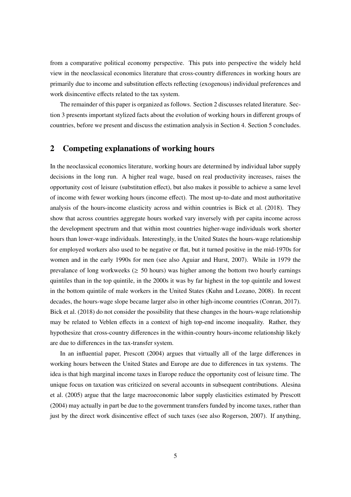from a comparative political economy perspective. This puts into perspective the widely held view in the neoclassical economics literature that cross-country differences in working hours are primarily due to income and substitution effects reflecting (exogenous) individual preferences and work disincentive effects related to the tax system.

The remainder of this paper is organized as follows. Section 2 discusses related literature. Section 3 presents important stylized facts about the evolution of working hours in different groups of countries, before we present and discuss the estimation analysis in Section 4. Section 5 concludes.

#### 2 Competing explanations of working hours

In the neoclassical economics literature, working hours are determined by individual labor supply decisions in the long run. A higher real wage, based on real productivity increases, raises the opportunity cost of leisure (substitution effect), but also makes it possible to achieve a same level of income with fewer working hours (income effect). The most up-to-date and most authoritative analysis of the hours-income elasticity across and within countries is Bick et al. (2018). They show that across countries aggregate hours worked vary inversely with per capita income across the development spectrum and that within most countries higher-wage individuals work shorter hours than lower-wage individuals. Interestingly, in the United States the hours-wage relationship for employed workers also used to be negative or flat, but it turned positive in the mid-1970s for women and in the early 1990s for men (see also Aguiar and Hurst, 2007). While in 1979 the prevalance of long workweeks ( $\geq$  50 hours) was higher among the bottom two hourly earnings quintiles than in the top quintile, in the 2000s it was by far highest in the top quintile and lowest in the bottom quintile of male workers in the United States (Kuhn and Lozano, 2008). In recent decades, the hours-wage slope became larger also in other high-income countries (Conran, 2017). Bick et al. (2018) do not consider the possibility that these changes in the hours-wage relationship may be related to Veblen effects in a context of high top-end income inequality. Rather, they hypothesize that cross-country differences in the within-country hours-income relationship likely are due to differences in the tax-transfer system.

In an influential paper, Prescott (2004) argues that virtually all of the large differences in working hours between the United States and Europe are due to differences in tax systems. The idea is that high marginal income taxes in Europe reduce the opportunity cost of leisure time. The unique focus on taxation was criticized on several accounts in subsequent contributions. Alesina et al. (2005) argue that the large macroeconomic labor supply elasticities estimated by Prescott (2004) may actually in part be due to the government transfers funded by income taxes, rather than just by the direct work disincentive effect of such taxes (see also Rogerson, 2007). If anything,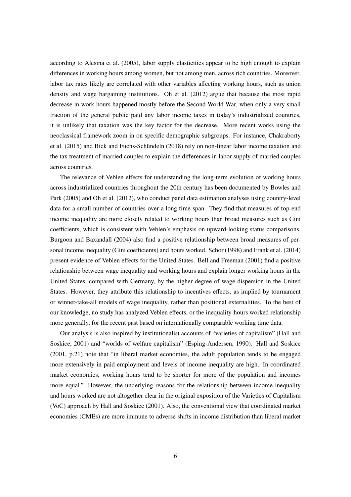according to Alesina et al. (2005), labor supply elasticities appear to be high enough to explain differences in working hours among women, but not among men, across rich countries. Moreover, labor tax rates likely are correlated with other variables affecting working hours, such as union density and wage bargaining institutions. Oh et al. (2012) argue that because the most rapid decrease in work hours happened mostly before the Second World War, when only a very small fraction of the general public paid any labor income taxes in today's industrialized countries, it is unlikely that taxation was the key factor for the decrease. More recent works using the neoclassical framework zoom in on specific demographic subgroups. For instance, Chakraborty et al. (2015) and Bick and Fuchs-Schündeln (2018) rely on non-linear labor income taxation and the tax treatment of married couples to explain the differences in labor supply of married couples across countries.

The relevance of Veblen effects for understanding the long-term evolution of working hours across industrialized countries throughout the 20th century has been documented by Bowles and Park (2005) and Oh et al. (2012), who conduct panel data estimation analyses using country-level data for a small number of countries over a long time span. They find that measures of top-end income inequality are more closely related to working hours than broad measures such as Gini coefficients, which is consistent with Veblen's emphasis on upward-looking status comparisons. Burgoon and Baxandall (2004) also find a positive relationship between broad measures of personal income inequality (Gini coefficients) and hours worked. Schor (1998) and Frank et al. (2014) present evidence of Veblen effects for the United States. Bell and Freeman (2001) find a positive relationship between wage inequality and working hours and explain longer working hours in the United States, compared with Germany, by the higher degree of wage dispersion in the United States. However, they attribute this relationship to incentives effects, as implied by tournament or winner-take-all models of wage inequality, rather than positional externalities. To the best of our knowledge, no study has analyzed Veblen effects, or the inequality-hours worked relationship more generally, for the recent past based on internationally comparable working time data.

Our analysis is also inspired by institutionalist accounts of "varieties of capitalism" (Hall and Soskice, 2001) and "worlds of welfare capitalism" (Esping-Andersen, 1990). Hall and Soskice (2001, p.21) note that "in liberal market economies, the adult population tends to be engaged more extensively in paid employment and levels of income inequality are high. In coordinated market economies, working hours tend to be shorter for more of the population and incomes more equal." However, the underlying reasons for the relationship between income inequality and hours worked are not altogether clear in the original exposition of the Varieties of Capitalism (VoC) approach by Hall and Soskice (2001). Also, the conventional view that coordinated market economies (CMEs) are more immune to adverse shifts in income distribution than liberal market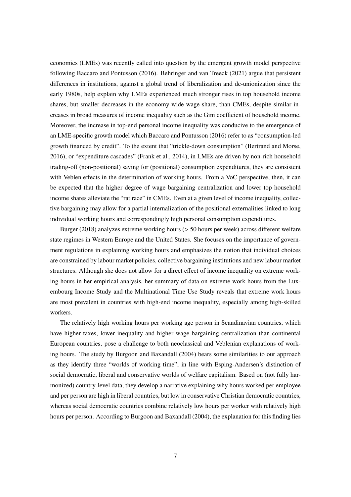economies (LMEs) was recently called into question by the emergent growth model perspective following Baccaro and Pontusson (2016). Behringer and van Treeck (2021) argue that persistent differences in institutions, against a global trend of liberalization and de-unionization since the early 1980s, help explain why LMEs experienced much stronger rises in top household income shares, but smaller decreases in the economy-wide wage share, than CMEs, despite similar increases in broad measures of income inequality such as the Gini coefficient of household income. Moreover, the increase in top-end personal income inequality was conducive to the emergence of an LME-specific growth model which Baccaro and Pontusson (2016) refer to as "consumption-led growth financed by credit". To the extent that "trickle-down consumption" (Bertrand and Morse, 2016), or "expenditure cascades" (Frank et al., 2014), in LMEs are driven by non-rich household trading-off (non-positional) saving for (positional) consumption expenditures, they are consistent with Veblen effects in the determination of working hours. From a VoC perspective, then, it can be expected that the higher degree of wage bargaining centralization and lower top household income shares alleviate the "rat race" in CMEs. Even at a given level of income inequality, collective bargaining may allow for a partial internalization of the positional externalities linked to long individual working hours and correspondingly high personal consumption expenditures.

Burger (2018) analyzes extreme working hours (> 50 hours per week) across different welfare state regimes in Western Europe and the United States. She focuses on the importance of government regulations in explaining working hours and emphasizes the notion that individual choices are constrained by labour market policies, collective bargaining institutions and new labour market structures. Although she does not allow for a direct effect of income inequality on extreme working hours in her empirical analysis, her summary of data on extreme work hours from the Luxembourg Income Study and the Multinational Time Use Study reveals that extreme work hours are most prevalent in countries with high-end income inequality, especially among high-skilled workers.

The relatively high working hours per working age person in Scandinavian countries, which have higher taxes, lower inequality and higher wage bargaining centralization than continental European countries, pose a challenge to both neoclassical and Veblenian explanations of working hours. The study by Burgoon and Baxandall (2004) bears some similarities to our approach as they identify three "worlds of working time", in line with Esping-Andersen's distinction of social democratic, liberal and conservative worlds of welfare capitalism. Based on (not fully harmonized) country-level data, they develop a narrative explaining why hours worked per employee and per person are high in liberal countries, but low in conservative Christian democratic countries, whereas social democratic countries combine relatively low hours per worker with relatively high hours per person. According to Burgoon and Baxandall (2004), the explanation for this finding lies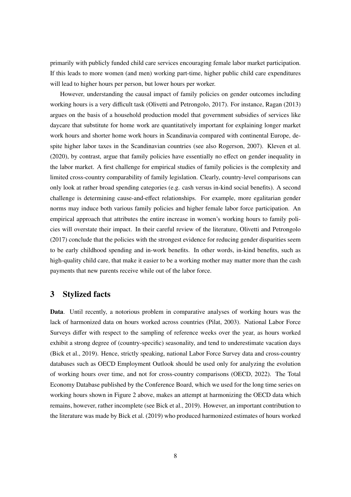primarily with publicly funded child care services encouraging female labor market participation. If this leads to more women (and men) working part-time, higher public child care expenditures will lead to higher hours per person, but lower hours per worker.

However, understanding the causal impact of family policies on gender outcomes including working hours is a very difficult task (Olivetti and Petrongolo, 2017). For instance, Ragan (2013) argues on the basis of a household production model that government subsidies of services like daycare that substitute for home work are quantitatively important for explaining longer market work hours and shorter home work hours in Scandinavia compared with continental Europe, despite higher labor taxes in the Scandinavian countries (see also Rogerson, 2007). Kleven et al. (2020), by contrast, argue that family policies have essentially no effect on gender inequality in the labor market. A first challenge for empirical studies of family policies is the complexity and limited cross-country comparability of family legislation. Clearly, country-level comparisons can only look at rather broad spending categories (e.g. cash versus in-kind social benefits). A second challenge is determining cause-and-effect relationships. For example, more egalitarian gender norms may induce both various family policies and higher female labor force participation. An empirical approach that attributes the entire increase in women's working hours to family policies will overstate their impact. In their careful review of the literature, Olivetti and Petrongolo (2017) conclude that the policies with the strongest evidence for reducing gender disparities seem to be early childhood spending and in-work benefits. In other words, in-kind benefits, such as high-quality child care, that make it easier to be a working mother may matter more than the cash payments that new parents receive while out of the labor force.

### 3 Stylized facts

Data. Until recently, a notorious problem in comparative analyses of working hours was the lack of harmonized data on hours worked across countries (Pilat, 2003). National Labor Force Surveys differ with respect to the sampling of reference weeks over the year, as hours worked exhibit a strong degree of (country-specific) seasonality, and tend to underestimate vacation days (Bick et al., 2019). Hence, strictly speaking, national Labor Force Survey data and cross-country databases such as OECD Employment Outlook should be used only for analyzing the evolution of working hours over time, and not for cross-country comparisons (OECD, 2022). The Total Economy Database published by the Conference Board, which we used for the long time series on working hours shown in Figure 2 above, makes an attempt at harmonizing the OECD data which remains, however, rather incomplete (see Bick et al., 2019). However, an important contribution to the literature was made by Bick et al. (2019) who produced harmonized estimates of hours worked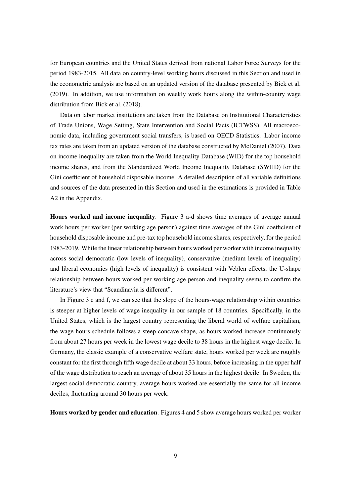for European countries and the United States derived from national Labor Force Surveys for the period 1983-2015. All data on country-level working hours discussed in this Section and used in the econometric analysis are based on an updated version of the database presented by Bick et al. (2019). In addition, we use information on weekly work hours along the within-country wage distribution from Bick et al. (2018).

Data on labor market institutions are taken from the Database on Institutional Characteristics of Trade Unions, Wage Setting, State Intervention and Social Pacts (ICTWSS). All macroeconomic data, including government social transfers, is based on OECD Statistics. Labor income tax rates are taken from an updated version of the database constructed by McDaniel (2007). Data on income inequality are taken from the World Inequality Database (WID) for the top household income shares, and from the Standardized World Income Inequality Database (SWIID) for the Gini coefficient of household disposable income. A detailed description of all variable definitions and sources of the data presented in this Section and used in the estimations is provided in Table A2 in the Appendix.

Hours worked and income inequality. Figure 3 a-d shows time averages of average annual work hours per worker (per working age person) against time averages of the Gini coefficient of household disposable income and pre-tax top household income shares, respectively, for the period 1983-2019. While the linear relationship between hours worked per worker with income inequality across social democratic (low levels of inequality), conservative (medium levels of inequality) and liberal economies (high levels of inequality) is consistent with Veblen effects, the U-shape relationship between hours worked per working age person and inequality seems to confirm the literature's view that "Scandinavia is different".

In Figure 3 e and f, we can see that the slope of the hours-wage relationship within countries is steeper at higher levels of wage inequality in our sample of 18 countries. Specifically, in the United States, which is the largest country representing the liberal world of welfare capitalism, the wage-hours schedule follows a steep concave shape, as hours worked increase continuously from about 27 hours per week in the lowest wage decile to 38 hours in the highest wage decile. In Germany, the classic example of a conservative welfare state, hours worked per week are roughly constant for the first through fifth wage decile at about 33 hours, before increasing in the upper half of the wage distribution to reach an average of about 35 hours in the highest decile. In Sweden, the largest social democratic country, average hours worked are essentially the same for all income deciles, fluctuating around 30 hours per week.

Hours worked by gender and education. Figures 4 and 5 show average hours worked per worker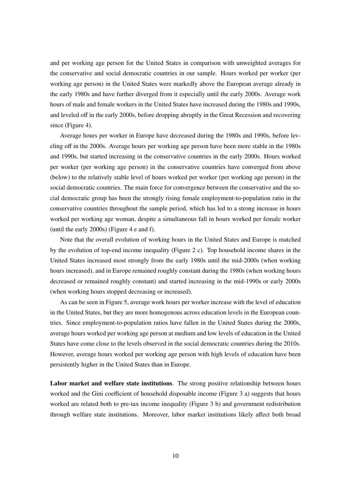and per working age person for the United States in comparison with unweighted averages for the conservative and social democratic countries in our sample. Hours worked per worker (per working age person) in the United States were markedly above the European average already in the early 1980s and have further diverged from it especially until the early 2000s. Average work hours of male and female workers in the United States have increased during the 1980s and 1990s, and leveled off in the early 2000s, before dropping abruptly in the Great Recession and recovering since (Figure 4).

Average hours per worker in Europe have decreased during the 1980s and 1990s, before leveling off in the 2000s. Average hours per working age person have been more stable in the 1980s and 1990s, but started increasing in the conservative countries in the early 2000s. Hours worked per worker (per working age person) in the conservative countries have converged from above (below) to the relatively stable level of hours worked per worker (per working age person) in the social democratic countries. The main force for convergence between the conservative and the social democratic group has been the strongly rising female employment-to-population ratio in the conservative countries throughout the sample period, which has led to a strong increase in hours worked per working age woman, despite a simultaneous fall in hours worked per female worker (until the early 2000s) (Figure 4 e and f).

Note that the overall evolution of working hours in the United States and Europe is matched by the evolution of top-end income inequality (Figure 2 c). Top household income shares in the United States increased most strongly from the early 1980s until the mid-2000s (when working hours increased), and in Europe remained roughly constant during the 1980s (when working hours decreased or remained roughly constant) and started increasing in the mid-1990s or early 2000s (when working hours stopped decreasing or increased).

As can be seen in Figure 5, average work hours per worker increase with the level of education in the United States, but they are more homogenous across education levels in the European countries. Since employment-to-population ratios have fallen in the United States during the 2000s, average hours worked per working age person at medium and low levels of education in the United States have come close to the levels observed in the social democratic countries during the 2010s. However, average hours worked per working age person with high levels of education have been persistently higher in the United States than in Europe.

Labor market and welfare state institutions. The strong positive relationship between hours worked and the Gini coefficient of household disposable income (Figure 3 a) suggests that hours worked are related both to pre-tax income inequality (Figure 3 b) and government redistribution through welfare state institutions. Moreover, labor market institutions likely affect both broad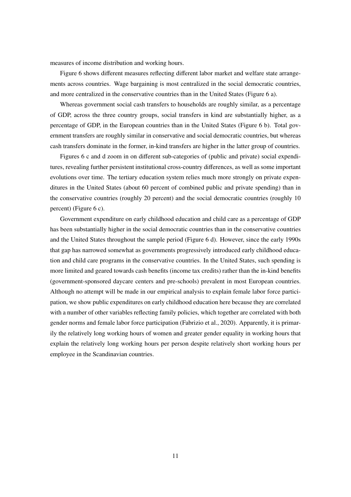measures of income distribution and working hours.

Figure 6 shows different measures reflecting different labor market and welfare state arrangements across countries. Wage bargaining is most centralized in the social democratic countries, and more centralized in the conservative countries than in the United States (Figure 6 a).

Whereas government social cash transfers to households are roughly similar, as a percentage of GDP, across the three country groups, social transfers in kind are substantially higher, as a percentage of GDP, in the European countries than in the United States (Figure 6 b). Total government transfers are roughly similar in conservative and social democratic countries, but whereas cash transfers dominate in the former, in-kind transfers are higher in the latter group of countries.

Figures 6 c and d zoom in on different sub-categories of (public and private) social expenditures, revealing further persistent institutional cross-country differences, as well as some important evolutions over time. The tertiary education system relies much more strongly on private expenditures in the United States (about 60 percent of combined public and private spending) than in the conservative countries (roughly 20 percent) and the social democratic countries (roughly 10 percent) (Figure 6 c).

Government expenditure on early childhood education and child care as a percentage of GDP has been substantially higher in the social democratic countries than in the conservative countries and the United States throughout the sample period (Figure 6 d). However, since the early 1990s that gap has narrowed somewhat as governments progressively introduced early childhood education and child care programs in the conservative countries. In the United States, such spending is more limited and geared towards cash benefits (income tax credits) rather than the in-kind benefits (government-sponsored daycare centers and pre-schools) prevalent in most European countries. Although no attempt will be made in our empirical analysis to explain female labor force participation, we show public expenditures on early childhood education here because they are correlated with a number of other variables reflecting family policies, which together are correlated with both gender norms and female labor force participation (Fabrizio et al., 2020). Apparently, it is primarily the relatively long working hours of women and greater gender equality in working hours that explain the relatively long working hours per person despite relatively short working hours per employee in the Scandinavian countries.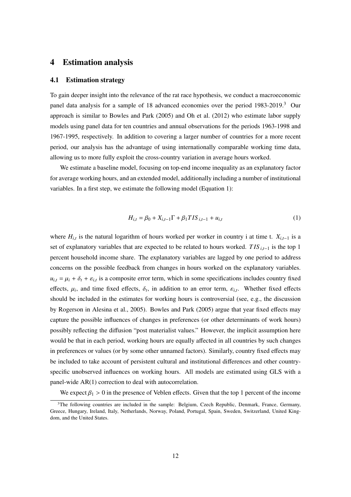### 4 Estimation analysis

#### 4.1 Estimation strategy

To gain deeper insight into the relevance of the rat race hypothesis, we conduct a macroeconomic panel data analysis for a sample of 18 advanced economies over the period 1983-2019.<sup>3</sup> Our approach is similar to Bowles and Park (2005) and Oh et al. (2012) who estimate labor supply models using panel data for ten countries and annual observations for the periods 1963-1998 and 1967-1995, respectively. In addition to covering a larger number of countries for a more recent period, our analysis has the advantage of using internationally comparable working time data, allowing us to more fully exploit the cross-country variation in average hours worked.

We estimate a baseline model, focusing on top-end income inequality as an explanatory factor for average working hours, and an extended model, additionally including a number of institutional variables. In a first step, we estimate the following model (Equation 1):

$$
H_{i,t} = \beta_0 + X_{i,t-1} \Gamma + \beta_1 T I S_{i,t-1} + u_{i,t}
$$
 (1)

where  $H_{i,t}$  is the natural logarithm of hours worked per worker in country i at time t.  $X_{i,t-1}$  is a set of explanatory variables that are expected to be related to hours worked. *T IS <sup>i</sup>*,*t*−<sup>1</sup> is the top 1 percent household income share. The explanatory variables are lagged by one period to address concerns on the possible feedback from changes in hours worked on the explanatory variables.  $u_{i,t} = \mu_i + \delta_t + \varepsilon_{i,t}$  is a composite error term, which in some specifications includes country fixed effects,  $\mu_i$ , and time fixed effects,  $\delta_t$ , in addition to an error term,  $\varepsilon_{i,t}$ . Whether fixed effects should be included in the estimates for working hours is controversial (see, e.g., the discussion by Rogerson in Alesina et al., 2005). Bowles and Park (2005) argue that year fixed effects may capture the possible influences of changes in preferences (or other determinants of work hours) possibly reflecting the diffusion "post materialist values." However, the implicit assumption here would be that in each period, working hours are equally affected in all countries by such changes in preferences or values (or by some other unnamed factors). Similarly, country fixed effects may be included to take account of persistent cultural and institutional differences and other countryspecific unobserved influences on working hours. All models are estimated using GLS with a panel-wide AR(1) correction to deal with autocorrelation.

We expect  $\beta_1 > 0$  in the presence of Veblen effects. Given that the top 1 percent of the income

<sup>&</sup>lt;sup>3</sup>The following countries are included in the sample: Belgium, Czech Republic, Denmark, France, Germany, Greece, Hungary, Ireland, Italy, Netherlands, Norway, Poland, Portugal, Spain, Sweden, Switzerland, United Kingdom, and the United States.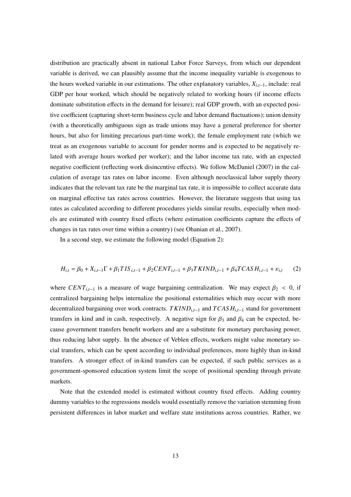distribution are practically absent in national Labor Force Surveys, from which our dependent variable is derived, we can plausibly assume that the income inequality variable is exogenous to the hours worked variable in our estimations. The other explanatory variables, *<sup>X</sup>i*,*t*−1, include: real GDP per hour worked, which should be negatively related to working hours (if income effects dominate substitution effects in the demand for leisure); real GDP growth, with an expected positive coefficient (capturing short-term business cycle and labor demand fluctuations); union density (with a theoretically ambiguous sign as trade unions may have a general preference for shorter hours, but also for limiting precarious part-time work); the female employment rate (which we treat as an exogenous variable to account for gender norms and is expected to be negatively related with average hours worked per worker); and the labor income tax rate, with an expected negative coefficient (reflecting work disincentive effects). We follow McDaniel (2007) in the calculation of average tax rates on labor income. Even although neoclassical labor supply theory indicates that the relevant tax rate be the marginal tax rate, it is impossible to collect accurate data on marginal effective tax rates across countries. However, the literature suggests that using tax rates as calculated according to different procedures yields similar results, especially when models are estimated with country fixed effects (where estimation coefficients capture the effects of changes in tax rates over time within a country) (see Ohanian et al., 2007).

In a second step, we estimate the following model (Equation 2):

$$
H_{i,t} = \beta_0 + X_{i,t-1} \Gamma + \beta_1 T I S_{i,t-1} + \beta_2 C E N T_{i,t-1} + \beta_3 T K I N D_{i,t-1} + \beta_4 T C A S H_{i,t-1} + \varepsilon_{i,t} \tag{2}
$$

where  $CENT_{i,t-1}$  is a measure of wage bargaining centralization. We may expect  $\beta_2 < 0$ , if centralized bargaining helps internalize the positional externalities which may occur with more decentralized bargaining over work contracts. *T KINDi*,*t*−<sup>1</sup> and *TCAS Hi*,*t*−<sup>1</sup> stand for government transfers in kind and in cash, respectively. A negative sign for  $\beta_3$  and  $\beta_4$  can be expected, because government transfers benefit workers and are a substitute for monetary purchasing power, thus reducing labor supply. In the absence of Veblen effects, workers might value monetary social transfers, which can be spent according to individual preferences, more highly than in-kind transfers. A stronger effect of in-kind transfers can be expected, if such public services as a government-sponsored education system limit the scope of positional spending through private markets.

Note that the extended model is estimated without country fixed effects. Adding country dummy variables to the regressions models would essentially remove the variation stemming from persistent differences in labor market and welfare state institutions across countries. Rather, we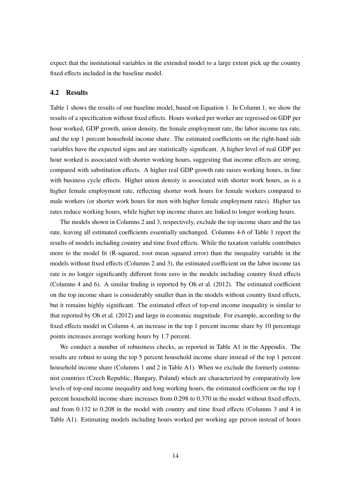expect that the institutional variables in the extended model to a large extent pick up the country fixed effects included in the baseline model.

#### 4.2 Results

Table 1 shows the results of our baseline model, based on Equation 1. In Column 1, we show the results of a specification without fixed effects. Hours worked per worker are regressed on GDP per hour worked, GDP growth, union density, the female employment rate, the labor income tax rate, and the top 1 percent household income share. The estimated coefficients on the right-hand side variables have the expected signs and are statistically significant. A higher level of real GDP per hour worked is associated with shorter working hours, suggesting that income effects are strong, compared with substitution effects. A higher real GDP growth rate raises working hours, in line with business cycle effects. Higher union density is associated with shorter work hours, as is a higher female employment rate, reflecting shorter work hours for female workers compared to male workers (or shorter work hours for men with higher female employment rates). Higher tax rates reduce working hours, while higher top income shares are linked to longer working hours.

The models shown in Columns 2 and 3, respectively, exclude the top income share and the tax rate, leaving all estimated coefficients essentially unchanged. Columns 4-6 of Table 1 report the results of models including country and time fixed effects. While the taxation variable contributes more to the model fit (R-squared, root mean squared error) than the inequality variable in the models without fixed effects (Columns 2 and 3), the estimated coefficient on the labor income tax rate is no longer significantly different from zero in the models including country fixed effects (Columns 4 and 6). A similar finding is reported by Oh et al. (2012). The estimated coefficient on the top income share is considerably smaller than in the models without country fixed effects, but it remains highly significant. The estimated effect of top-end income inequality is similar to that reported by Oh et al. (2012) and large in economic magnitude. For example, according to the fixed effects model in Column 4, an increase in the top 1 percent income share by 10 percentage points increases average working hours by 1.7 percent.

We conduct a number of robustness checks, as reported in Table A1 in the Appendix. The results are robust to using the top 5 percent household income share instead of the top 1 percent household income share (Columns 1 and 2 in Table A1). When we exclude the formerly communist countries (Czech Republic, Hungary, Poland) which are characterized by comparatively low levels of top-end income inequality and long working hours, the estimated coefficient on the top 1 percent household income share increases from 0.298 to 0.370 in the model without fixed effects, and from 0.132 to 0.208 in the model with country and time fixed effects (Columns 3 and 4 in Table A1). Estimating models including hours worked per working age person instead of hours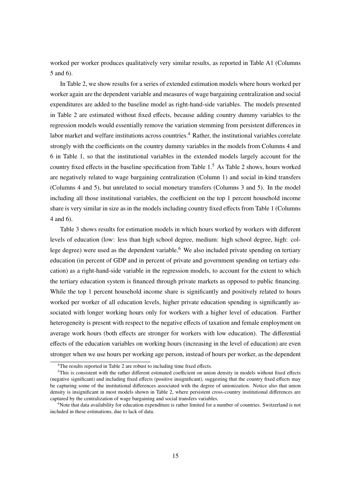worked per worker produces qualitatively very similar results, as reported in Table A1 (Columns 5 and 6).

In Table 2, we show results for a series of extended estimation models where hours worked per worker again are the dependent variable and measures of wage bargaining centralization and social expenditures are added to the baseline model as right-hand-side variables. The models presented in Table 2 are estimated without fixed effects, because adding country dummy variables to the regression models would essentially remove the variation stemming from persistent differences in labor market and welfare institutions across countries.<sup>4</sup> Rather, the institutional variables correlate strongly with the coefficients on the country dummy variables in the models from Columns 4 and 6 in Table 1, so that the institutional variables in the extended models largely account for the country fixed effects in the baseline specification from Table 1.<sup>5</sup> As Table 2 shows, hours worked are negatively related to wage bargaining centralization (Column 1) and social in-kind transfers (Columns 4 and 5), but unrelated to social monetary transfers (Columns 3 and 5). In the model including all those institutional variables, the coefficient on the top 1 percent household income share is very similar in size as in the models including country fixed effects from Table 1 (Columns 4 and 6).

Table 3 shows results for estimation models in which hours worked by workers with different levels of education (low: less than high school degree, medium: high school degree, high: college degree) were used as the dependent variable.<sup>6</sup> We also included private spending on tertiary education (in percent of GDP and in percent of private and government spending on tertiary education) as a right-hand-side variable in the regression models, to account for the extent to which the tertiary education system is financed through private markets as opposed to public financing. While the top 1 percent household income share is significantly and positively related to hours worked per worker of all education levels, higher private education spending is significantly associated with longer working hours only for workers with a higher level of education. Further heterogeneity is present with respect to the negative effects of taxation and female employment on average work hours (both effects are stronger for workers with low education). The differential effects of the education variables on working hours (increasing in the level of education) are even stronger when we use hours per working age person, instead of hours per worker, as the dependent

<sup>&</sup>lt;sup>4</sup>The results reported in Table 2 are robust to including time fixed effects.

<sup>5</sup>This is consistent with the rather different estimated coefficient on union density in models without fixed effects (negative significant) and including fixed effects (positive insignificant), suggesting that the country fixed effects may be capturing some of the institutional differences associated with the degree of unionization. Notice also that union density is insignificant in most models shown in Table 2, where persistent cross-country institutional differences are captured by the centralization of wage bargaining and social transfers variables.

<sup>&</sup>lt;sup>6</sup>Note that data availability for education expenditure is rather limited for a number of countries. Switzerland is not included in these estimations, due to lack of data.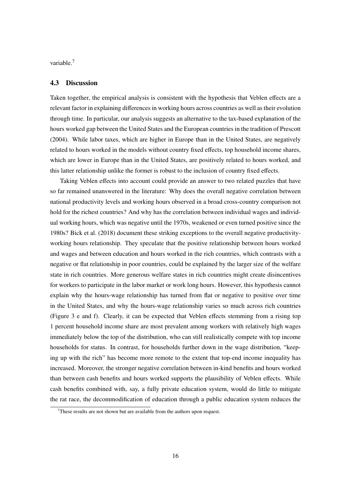variable.<sup>7</sup>

#### 4.3 Discussion

Taken together, the empirical analysis is consistent with the hypothesis that Veblen effects are a relevant factor in explaining differences in working hours across countries as well as their evolution through time. In particular, our analysis suggests an alternative to the tax-based explanation of the hours worked gap between the United States and the European countries in the tradition of Prescott (2004). While labor taxes, which are higher in Europe than in the United States, are negatively related to hours worked in the models without country fixed effects, top household income shares, which are lower in Europe than in the United States, are positively related to hours worked, and this latter relationship unlike the former is robust to the inclusion of country fixed effects.

Taking Veblen effects into account could provide an answer to two related puzzles that have so far remained unanswered in the literature: Why does the overall negative correlation between national productivity levels and working hours observed in a broad cross-country comparison not hold for the richest countries? And why has the correlation between individual wages and individual working hours, which was negative until the 1970s, weakened or even turned positive since the 1980s? Bick et al. (2018) document these striking exceptions to the overall negative productivityworking hours relationship. They speculate that the positive relationship between hours worked and wages and between education and hours worked in the rich countries, which contrasts with a negative or flat relationship in poor countries, could be explained by the larger size of the welfare state in rich countries. More generous welfare states in rich countries might create disincentives for workers to participate in the labor market or work long hours. However, this hypothesis cannot explain why the hours-wage relationship has turned from flat or negative to positive over time in the United States, and why the hours-wage relationship varies so much across rich countries (Figure 3 e and f). Clearly, it can be expected that Veblen effects stemming from a rising top 1 percent household income share are most prevalent among workers with relatively high wages immediately below the top of the distribution, who can still realistically compete with top income households for status. In contrast, for households further down in the wage distribution, "keeping up with the rich" has become more remote to the extent that top-end income inequality has increased. Moreover, the stronger negative correlation between in-kind benefits and hours worked than between cash benefits and hours worked supports the plausibility of Veblen effects. While cash benefits combined with, say, a fully private education system, would do little to mitigate the rat race, the decommodification of education through a public education system reduces the

 $7$ These results are not shown but are available from the authors upon request.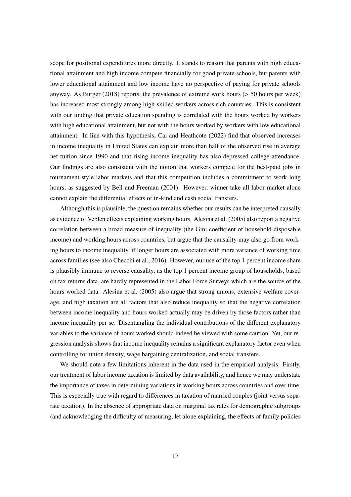scope for positional expenditures more directly. It stands to reason that parents with high educational attainment and high income compete financially for good private schools, but parents with lower educational attainment and low income have no perspective of paying for private schools anyway. As Burger  $(2018)$  reports, the prevalence of extreme work hours ( $> 50$  hours per week) has increased most strongly among high-skilled workers across rich countries. This is consistent with our finding that private education spending is correlated with the hours worked by workers with high educational attainment, but not with the hours worked by workers with low educational attainment. In line with this hypothesis, Cai and Heathcote (2022) find that observed increases in income inequality in United States can explain more than half of the observed rise in average net tuition since 1990 and that rising income inequality has also depressed college attendance. Our findings are also consistent with the notion that workers compete for the best-paid jobs in tournament-style labor markets and that this competition includes a commitment to work long hours, as suggested by Bell and Freeman (2001). However, winner-take-all labor market alone cannot explain the differential effects of in-kind and cash social transfers.

Although this is plausible, the question remains whether our results can be interpreted causally as evidence of Veblen effects explaining working hours. Alesina et al. (2005) also report a negative correlation between a broad measure of inequality (the Gini coefficient of household disposable income) and working hours across countries, but argue that the causality may also go from working hours to income inequality, if longer hours are associated with more variance of working time across families (see also Checchi et al., 2016). However, our use of the top 1 percent income share is plausibly immune to reverse causality, as the top 1 percent income group of households, based on tax returns data, are hardly represented in the Labor Force Surveys which are the source of the hours worked data. Alesina et al. (2005) also argue that strong unions, extensive welfare coverage, and high taxation are all factors that also reduce inequality so that the negative correlation between income inequality and hours worked actually may be driven by those factors rather than income inequality per se. Disentangling the individual contributions of the different explanatory variables to the variance of hours worked should indeed be viewed with some caution. Yet, our regression analysis shows that income inequality remains a significant explanatory factor even when controlling for union density, wage bargaining centralization, and social transfers.

We should note a few limitations inherent in the data used in the empirical analysis. Firstly, our treatment of labor income taxation is limited by data availability, and hence we may understate the importance of taxes in determining variations in working hours across countries and over time. This is especially true with regard to differences in taxation of married couples (joint versus separate taxation). In the absence of appropriate data on marginal tax rates for demographic subgroups (and acknowledging the difficulty of measuring, let alone explaining, the effects of family policies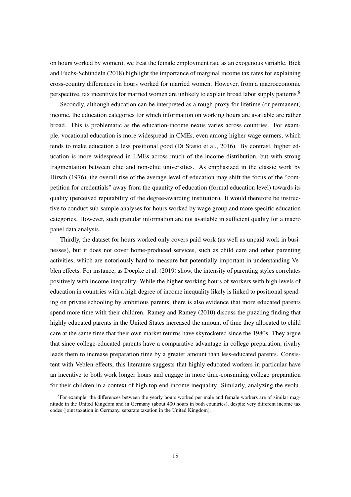on hours worked by women), we treat the female employment rate as an exogenous variable. Bick and Fuchs-Schündeln (2018) highlight the importance of marginal income tax rates for explaining cross-country differences in hours worked for married women. However, from a macroeconomic perspective, tax incentives for married women are unlikely to explain broad labor supply patterns.<sup>8</sup>

Secondly, although education can be interpreted as a rough proxy for lifetime (or permanent) income, the education categories for which information on working hours are available are rather broad. This is problematic as the education-income nexus varies across countries. For example, vocational education is more widespread in CMEs, even among higher wage earners, which tends to make education a less positional good (Di Stasio et al., 2016). By contrast, higher education is more widespread in LMEs across much of the income distribution, but with strong fragmentation between elite and non-elite universities. As emphasized in the classic work by Hirsch (1976), the overall rise of the average level of education may shift the focus of the "competition for credentials" away from the quantity of education (formal education level) towards its quality (perceived reputability of the degree-awarding institution). It would therefore be instructive to conduct sub-sample analyses for hours worked by wage group and more specific education categories. However, such granular information are not available in sufficient quality for a macro panel data analysis.

Thirdly, the dataset for hours worked only covers paid work (as well as unpaid work in businesses), but it does not cover home-produced services, such as child care and other parenting activities, which are notoriously hard to measure but potentially important in understanding Veblen effects. For instance, as Doepke et al. (2019) show, the intensity of parenting styles correlates positively with income inequality. While the higher working hours of workers with high levels of education in countries with a high degree of income inequality likely is linked to positional spending on private schooling by ambitious parents, there is also evidence that more educated parents spend more time with their children. Ramey and Ramey (2010) discuss the puzzling finding that highly educated parents in the United States increased the amount of time they allocated to child care at the same time that their own market returns have skyrocketed since the 1980s. They argue that since college-educated parents have a comparative advantage in college preparation, rivalry leads them to increase preparation time by a greater amount than less-educated parents. Consistent with Veblen effects, this literature suggests that highly educated workers in particular have an incentive to both work longer hours and engage in more time-consuming college preparation for their children in a context of high top-end income inequality. Similarly, analyzing the evolu-

<sup>&</sup>lt;sup>8</sup>For example, the differences between the yearly hours worked per male and female workers are of similar magnitude in the United Kingdom and in Germany (about 400 hours in both countries), despite very different income tax codes (joint taxation in Germany, separate taxation in the United Kingdom).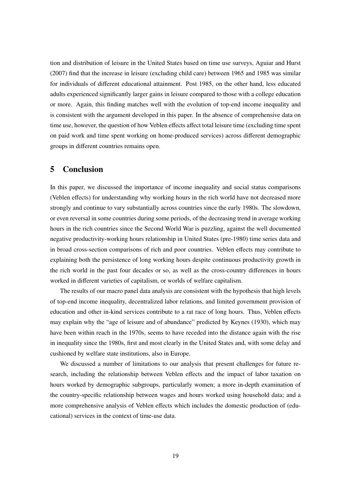tion and distribution of leisure in the United States based on time use surveys, Aguiar and Hurst (2007) find that the increase in leisure (excluding child care) between 1965 and 1985 was similar for individuals of different educational attainment. Post 1985, on the other hand, less educated adults experienced significantly larger gains in leisure compared to those with a college education or more. Again, this finding matches well with the evolution of top-end income inequality and is consistent with the argument developed in this paper. In the absence of comprehensive data on time use, however, the question of how Veblen effects affect total leisure time (excluding time spent on paid work and time spent working on home-produced services) across different demographic groups in different countries remains open.

### 5 Conclusion

In this paper, we discussed the importance of income inequality and social status comparisons (Veblen effects) for understanding why working hours in the rich world have not decreased more strongly and continue to vary substantially across countries since the early 1980s. The slowdown, or even reversal in some countries during some periods, of the decreasing trend in average working hours in the rich countries since the Second World War is puzzling, against the well documented negative productivity-working hours relationship in United States (pre-1980) time series data and in broad cross-section comparisons of rich and poor countries. Veblen effects may contribute to explaining both the persistence of long working hours despite continuous productivity growth in the rich world in the past four decades or so, as well as the cross-country differences in hours worked in different varieties of capitalism, or worlds of welfare capitalism.

The results of our macro panel data analysis are consistent with the hypothesis that high levels of top-end income inequality, decentralized labor relations, and limited government provision of education and other in-kind services contribute to a rat race of long hours. Thus, Veblen effects may explain why the "age of leisure and of abundance" predicted by Keynes (1930), which may have been within reach in the 1970s, seems to have receded into the distance again with the rise in inequality since the 1980s, first and most clearly in the United States and, with some delay and cushioned by welfare state institutions, also in Europe.

We discussed a number of limitations to our analysis that present challenges for future research, including the relationship between Veblen effects and the impact of labor taxation on hours worked by demographic subgroups, particularly women; a more in-depth examination of the country-specific relationship between wages and hours worked using household data; and a more comprehensive analysis of Veblen effects which includes the domestic production of (educational) services in the context of time-use data.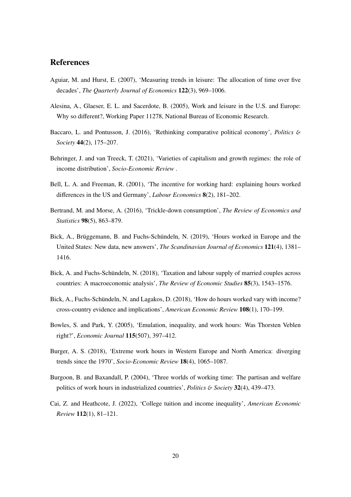# References

- Aguiar, M. and Hurst, E. (2007), 'Measuring trends in leisure: The allocation of time over five decades', *The Quarterly Journal of Economics* 122(3), 969–1006.
- Alesina, A., Glaeser, E. L. and Sacerdote, B. (2005), Work and leisure in the U.S. and Europe: Why so different?, Working Paper 11278, National Bureau of Economic Research.
- Baccaro, L. and Pontusson, J. (2016), 'Rethinking comparative political economy', *Politics* & *Society* 44(2), 175–207.
- Behringer, J. and van Treeck, T. (2021), 'Varieties of capitalism and growth regimes: the role of income distribution', *Socio-Economic Review* .
- Bell, L. A. and Freeman, R. (2001), 'The incentive for working hard: explaining hours worked differences in the US and Germany', *Labour Economics* 8(2), 181–202.
- Bertrand, M. and Morse, A. (2016), 'Trickle-down consumption', *The Review of Economics and Statistics* 98(5), 863–879.
- Bick, A., Brüggemann, B. and Fuchs-Schündeln, N. (2019), 'Hours worked in Europe and the United States: New data, new answers', *The Scandinavian Journal of Economics* 121(4), 1381– 1416.
- Bick, A. and Fuchs-Schündeln, N. (2018), 'Taxation and labour supply of married couples across countries: A macroeconomic analysis', *The Review of Economic Studies* 85(3), 1543–1576.
- Bick, A., Fuchs-Schündeln, N. and Lagakos, D. (2018), 'How do hours worked vary with income? cross-country evidence and implications', *American Economic Review* 108(1), 170–199.
- Bowles, S. and Park, Y. (2005), 'Emulation, inequality, and work hours: Was Thorsten Veblen right?', *Economic Journal* 115(507), 397–412.
- Burger, A. S. (2018), 'Extreme work hours in Western Europe and North America: diverging trends since the 1970', *Socio-Economic Review* 18(4), 1065–1087.
- Burgoon, B. and Baxandall, P. (2004), 'Three worlds of working time: The partisan and welfare politics of work hours in industrialized countries', *Politics* & *Society* 32(4), 439–473.
- Cai, Z. and Heathcote, J. (2022), 'College tuition and income inequality', *American Economic Review* 112(1), 81–121.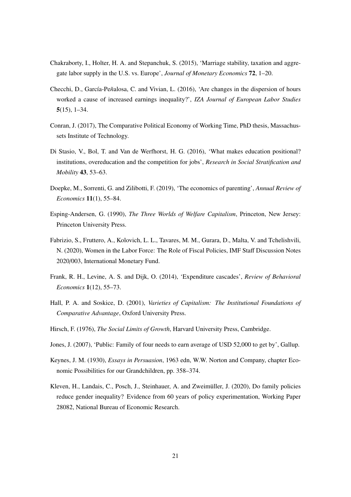- Chakraborty, I., Holter, H. A. and Stepanchuk, S. (2015), 'Marriage stability, taxation and aggregate labor supply in the U.S. vs. Europe', *Journal of Monetary Economics* 72, 1–20.
- Checchi, D., García-Pe˜*n*alosa, C. and Vivian, L. (2016), 'Are changes in the dispersion of hours worked a cause of increased earnings inequality?', *IZA Journal of European Labor Studies* 5(15), 1–34.
- Conran, J. (2017), The Comparative Political Economy of Working Time, PhD thesis, Massachussets Institute of Technology.
- Di Stasio, V., Bol, T. and Van de Werfhorst, H. G. (2016), 'What makes education positional? institutions, overeducation and the competition for jobs', *Research in Social Stratification and Mobility* 43, 53–63.
- Doepke, M., Sorrenti, G. and Zilibotti, F. (2019), 'The economics of parenting', *Annual Review of Economics* 11(1), 55–84.
- Esping-Andersen, G. (1990), *The Three Worlds of Welfare Capitalism*, Princeton, New Jersey: Princeton University Press.
- Fabrizio, S., Fruttero, A., Kolovich, L. L., Tavares, M. M., Gurara, D., Malta, V. and Tchelishvili, N. (2020), Women in the Labor Force: The Role of Fiscal Policies, IMF Staff Discussion Notes 2020/003, International Monetary Fund.
- Frank, R. H., Levine, A. S. and Dijk, O. (2014), 'Expenditure cascades', *Review of Behavioral Economics* 1(12), 55–73.
- Hall, P. A. and Soskice, D. (2001), *Varieties of Capitalism: The Institutional Foundations of Comparative Advantage*, Oxford University Press.
- Hirsch, F. (1976), *The Social Limits of Growth*, Harvard University Press, Cambridge.
- Jones, J. (2007), 'Public: Family of four needs to earn average of USD 52,000 to get by', Gallup.
- Keynes, J. M. (1930), *Essays in Persuasion*, 1963 edn, W.W. Norton and Company, chapter Economic Possibilities for our Grandchildren, pp. 358–374.
- Kleven, H., Landais, C., Posch, J., Steinhauer, A. and Zweimüller, J. (2020), Do family policies reduce gender inequality? Evidence from 60 years of policy experimentation, Working Paper 28082, National Bureau of Economic Research.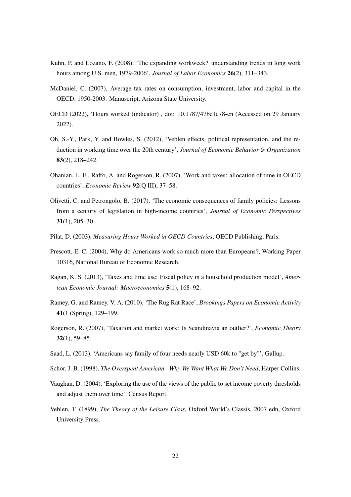- Kuhn, P. and Lozano, F. (2008), 'The expanding workweek? understanding trends in long work hours among U.S. men, 1979-2006', *Journal of Labor Economics* 26(2), 311–343.
- McDaniel, C. (2007), Average tax rates on consumption, investment, labor and capital in the OECD: 1950-2003. Manuscript, Arizona State University.
- OECD (2022), 'Hours worked (indicator)', doi: 10.1787/47be1c78-en (Accessed on 29 January 2022).
- Oh, S.-Y., Park, Y. and Bowles, S. (2012), 'Veblen effects, political representation, and the reduction in working time over the 20th century', *Journal of Economic Behavior* & *Organization* 83(2), 218–242.
- Ohanian, L. E., Raffo, A. and Rogerson, R. (2007), 'Work and taxes: allocation of time in OECD countries', *Economic Review* 92(Q III), 37–58.
- Olivetti, C. and Petrongolo, B. (2017), 'The economic consequences of family policies: Lessons from a century of legislation in high-income countries', *Journal of Economic Perspectives* 31(1), 205–30.
- Pilat, D. (2003), *Measuring Hours Worked in OECD Countries*, OECD Publishing, Paris.
- Prescott, E. C. (2004), Why do Americans work so much more than Europeans?, Working Paper 10316, National Bureau of Economic Research.
- Ragan, K. S. (2013), 'Taxes and time use: Fiscal policy in a household production model', *American Economic Journal: Macroeconomics* 5(1), 168–92.
- Ramey, G. and Ramey, V. A. (2010), 'The Rug Rat Race', *Brookings Papers on Economic Activity* 41(1 (Spring), 129–199.
- Rogerson, R. (2007), 'Taxation and market work: Is Scandinavia an outlier?', *Economic Theory* 32(1), 59–85.
- Saad, L. (2013), 'Americans say family of four needs nearly USD 60k to "get by"', Gallup.
- Schor, J. B. (1998), *The Overspent American Why We Want What We Don't Need*, Harper Collins.
- Vaughan, D. (2004), 'Exploring the use of the views of the public to set income poverty thresholds and adjust them over time', Census Report.
- Veblen, T. (1899), *The Theory of the Leisure Class*, Oxford World's Classis, 2007 edn, Oxford University Press.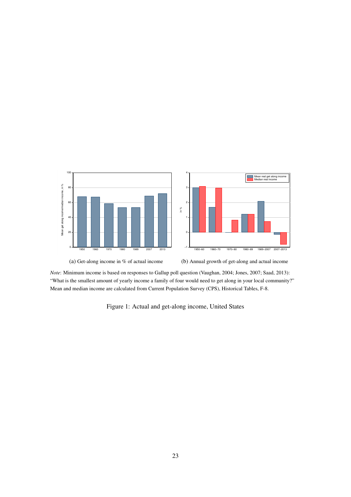

*Note*: Minimum income is based on responses to Gallup poll question (Vaughan, 2004; Jones, 2007; Saad, 2013): "What is the smallest amount of yearly income a family of four would need to get along in your local community?" Mean and median income are calculated from Current Population Survey (CPS), Historical Tables, F-8.

Figure 1: Actual and get-along income, United States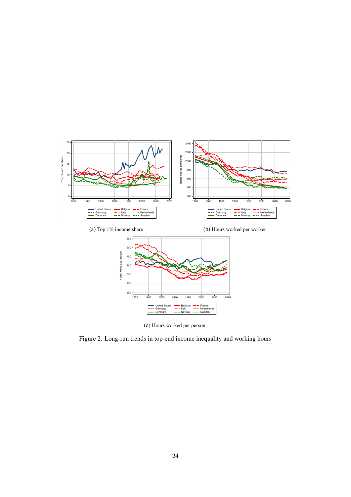



(c) Hours worked per person

Figure 2: Long-run trends in top-end income inequality and working hours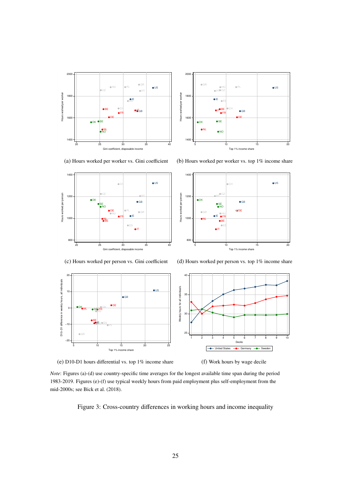



(a) Hours worked per worker vs. Gini coefficient



(b) Hours worked per worker vs. top 1% income share



(c) Hours worked per person vs. Gini coefficient





(e) D10-D1 hours differential vs. top 1% income share

(f) Work hours by wage decile

*Note*: Figures (a)-(d) use country-specific time averages for the longest available time span during the period 1983-2019. Figures (e)-(f) use typical weekly hours from paid employment plus self-employment from the mid-2000s; see Bick et al. (2018).

Figure 3: Cross-country differences in working hours and income inequality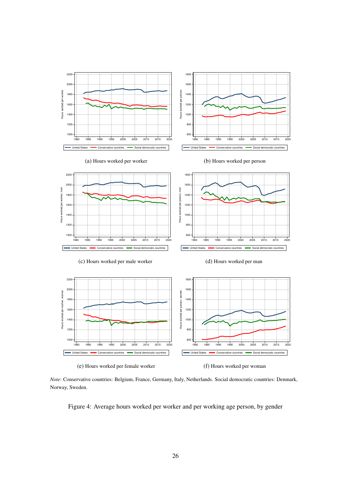

*Note*: Conservative countries: Belgium, France, Germany, Italy, Netherlands. Social democratic countries: Denmark, Norway, Sweden.

Figure 4: Average hours worked per worker and per working age person, by gender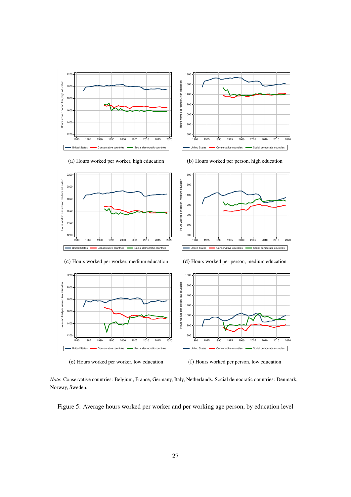



(a) Hours worked per worker, high education







*Note*: Conservative countries: Belgium, France, Germany, Italy, Netherlands. Social democratic countries: Denmark, Norway, Sweden.

Figure 5: Average hours worked per worker and per working age person, by education level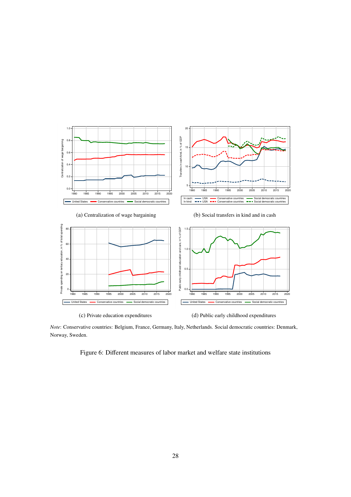

*Note*: Conservative countries: Belgium, France, Germany, Italy, Netherlands. Social democratic countries: Denmark, Norway, Sweden.

Figure 6: Different measures of labor market and welfare state institutions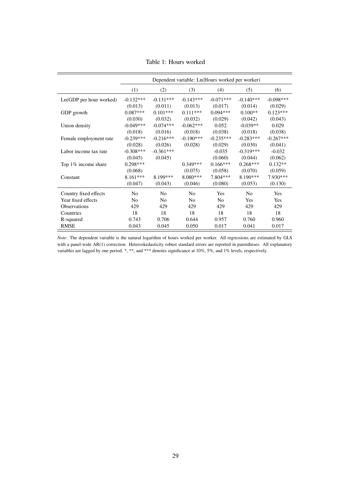|                         | Dependent variable: Ln(Hours worked per worker) |                |                |                |                |             |
|-------------------------|-------------------------------------------------|----------------|----------------|----------------|----------------|-------------|
|                         | (1)                                             | (2)            | (3)            | (4)            | (5)            | (6)         |
| Ln(GDP per hour worked) | $-0.132***$                                     | $-0.131***$    | $-0.143***$    | $-0.071***$    | $-0.140***$    | $-0.098***$ |
|                         | (0.013)                                         | (0.011)        | (0.013)        | (0.017)        | (0.014)        | (0.029)     |
| GDP growth              | $0.087***$                                      | $0.101***$     | $0.111***$     | $0.094***$     | $0.100**$      | $0.123***$  |
|                         | (0.030)                                         | (0.032)        | (0.032)        | (0.029)        | (0.042)        | (0.043)     |
| Union density           | $-0.049***$                                     | $-0.074***$    | $-0.062***$    | 0.052          | $-0.039**$     | 0.029       |
|                         | (0.018)                                         | (0.016)        | (0.018)        | (0.038)        | (0.018)        | (0.038)     |
| Female employment rate  | $-0.239***$                                     | $-0.216***$    | $-0.190***$    | $-0.235***$    | $-0.283***$    | $-0.267***$ |
|                         | (0.028)                                         | (0.026)        | (0.028)        | (0.029)        | (0.030)        | (0.041)     |
| Labor income tax rate   | $-0.308***$                                     | $-0.361***$    |                | $-0.035$       | $-0.319***$    | $-0.032$    |
|                         | (0.045)                                         | (0.045)        |                | (0.060)        | (0.044)        | (0.062)     |
| Top 1% income share     | $0.298***$                                      |                | $0.349***$     | $0.166***$     | $0.268***$     | $0.132**$   |
|                         | (0.068)                                         |                | (0.075)        | (0.058)        | (0.070)        | (0.059)     |
| Constant                | $8.161***$                                      | 8.199***       | $8.080***$     | 7.804***       | $8.190***$     | 7.930***    |
|                         | (0.047)                                         | (0.043)        | (0.046)        | (0.080)        | (0.053)        | (0.130)     |
| Country fixed effects   | No                                              | N <sub>0</sub> | N <sub>0</sub> | Yes            | N <sub>0</sub> | Yes         |
| Year fixed effects      | N <sub>0</sub>                                  | N <sub>0</sub> | N <sub>0</sub> | N <sub>0</sub> | Yes            | Yes         |
| Observations            | 429                                             | 429            | 429            | 429            | 429            | 429         |
| Countries               | 18                                              | 18             | 18             | 18             | 18             | 18          |
| R-squared               | 0.743                                           | 0.706          | 0.644          | 0.957          | 0.760          | 0.960       |
| <b>RMSE</b>             | 0.043                                           | 0.045          | 0.050          | 0.017          | 0.041          | 0.017       |

Table 1: Hours worked

*Note*: The dependent variable is the natural logarithm of hours worked per worker. All regressions are estimated by GLS with a panel-wide AR(1) correction. Heteroskedasticity robust standard errors are reported in parentheses. All explanatory variables are lagged by one period. \*, \*\*, and \*\*\* denotes significance at 10%, 5%, and 1% levels, respectively.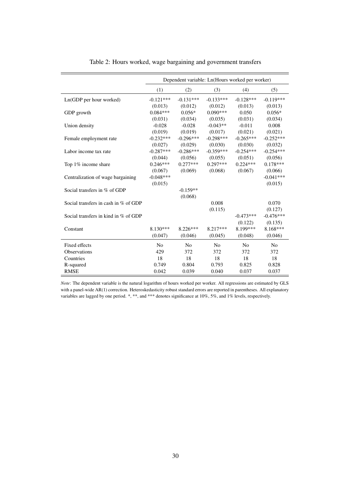|                                      |                | Dependent variable: Ln(Hours worked per worker) |                |                |                |
|--------------------------------------|----------------|-------------------------------------------------|----------------|----------------|----------------|
|                                      | (1)            | (2)                                             | (3)            | (4)            | (5)            |
| Ln(GDP per hour worked)              | $-0.121***$    | $-0.131***$                                     | $-0.133***$    | $-0.128***$    | $-0.119***$    |
|                                      | (0.013)        | (0.012)                                         | (0.012)        | (0.013)        | (0.013)        |
| GDP growth                           | $0.084***$     | $0.056*$                                        | $0.090***$     | 0.050          | $0.056*$       |
|                                      | (0.031)        | (0.034)                                         | (0.035)        | (0.031)        | (0.034)        |
| Union density                        | $-0.028$       | $-0.028$                                        | $-0.043**$     | $-0.011$       | 0.008          |
|                                      | (0.019)        | (0.019)                                         | (0.017)        | (0.021)        | (0.021)        |
| Female employment rate               | $-0.232***$    | $-0.296***$                                     | $-0.298***$    | $-0.265***$    | $-0.252***$    |
|                                      | (0.027)        | (0.029)                                         | (0.030)        | (0.030)        | (0.032)        |
| Labor income tax rate                | $-0.287***$    | $-0.286***$                                     | $-0.359***$    | $-0.254***$    | $-0.254***$    |
|                                      | (0.044)        | (0.056)                                         | (0.055)        | (0.051)        | (0.056)        |
| Top 1% income share                  | $0.246***$     | $0.277***$                                      | $0.297***$     | $0.224***$     | $0.178***$     |
|                                      | (0.067)        | (0.069)                                         | (0.068)        | (0.067)        | (0.066)        |
| Centralization of wage bargaining    | $-0.048***$    |                                                 |                |                | $-0.041***$    |
|                                      | (0.015)        |                                                 |                |                | (0.015)        |
| Social transfers in % of GDP         |                | $-0.159**$                                      |                |                |                |
|                                      |                | (0.068)                                         |                |                |                |
| Social transfers in cash in % of GDP |                |                                                 | 0.008          |                | 0.070          |
|                                      |                |                                                 | (0.115)        |                | (0.127)        |
| Social transfers in kind in % of GDP |                |                                                 |                | $-0.473***$    | $-0.476***$    |
|                                      |                |                                                 |                | (0.122)        | (0.135)        |
| Constant                             | $8.130***$     | $8.226***$                                      | $8.217***$     | 8.199***       | 8.168***       |
|                                      | (0.047)        | (0.046)                                         | (0.045)        | (0.048)        | (0.046)        |
| Fixed effects                        | N <sub>0</sub> | No                                              | N <sub>o</sub> | N <sub>0</sub> | N <sub>o</sub> |
| Observations                         | 429            | 372                                             | 372            | 372            | 372            |
| Countries                            | 18             | 18                                              | 18             | 18             | 18             |
| R-squared                            | 0.749          | 0.804                                           | 0.793          | 0.825          | 0.828          |
| <b>RMSE</b>                          | 0.042          | 0.039                                           | 0.040          | 0.037          | 0.037          |

Table 2: Hours worked, wage bargaining and government transfers

*Note*: The dependent variable is the natural logarithm of hours worked per worker. All regressions are estimated by GLS with a panel-wide AR(1) correction. Heteroskedasticity robust standard errors are reported in parentheses. All explanatory variables are lagged by one period. \*, \*\*, and \*\*\* denotes significance at 10%, 5%, and 1% levels, respectively.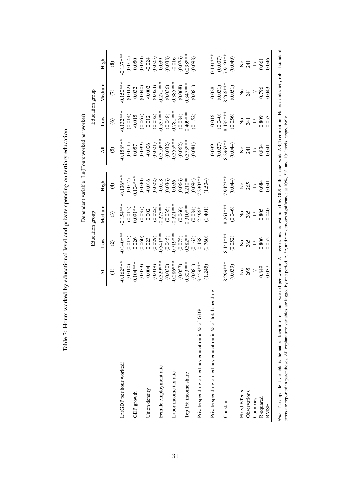|                                                                 |                 |                      |                           |                                                                     | Dependent variable: Ln(Hours worked per worker)           |                                                  |                                                           |                                               |
|-----------------------------------------------------------------|-----------------|----------------------|---------------------------|---------------------------------------------------------------------|-----------------------------------------------------------|--------------------------------------------------|-----------------------------------------------------------|-----------------------------------------------|
|                                                                 |                 |                      | Education group           |                                                                     |                                                           |                                                  | Education group                                           |                                               |
|                                                                 | $\overline{a}$  | $_{\text{Low}}$      | Medium                    | High                                                                | ₹                                                         | Δw                                               | Medium                                                    | High                                          |
|                                                                 | $\ominus$       | $\odot$              | $\odot$                   | $\bigoplus$                                                         | <u>ତି</u>                                                 | $\circledcirc$                                   | $\widehat{C}$                                             | $\circledS$                                   |
| Ln(GDP per hour worked)                                         | $0.162***$      | $0.140***$           | $0.154***$                | $0.136***$                                                          | $-0.158***$                                               | $-0.132***$                                      | $-0.150***$                                               | $-0.137***$                                   |
|                                                                 | (0.010)         | $(0.013)$<br>$0.026$ | $(0.012)$<br>0.091**      | $(0.012)$<br>0.104***                                               |                                                           | $(0.014)$<br>-0.015                              | $\begin{array}{c} (0.012) \\ 0.032 \\ 0.040) \end{array}$ | $(0.014)$<br>0.050                            |
| GDP growth                                                      | $0.104***$      |                      |                           |                                                                     | $\begin{array}{c} (0.011) \\ 0.057 \\ 0.039) \end{array}$ |                                                  |                                                           |                                               |
|                                                                 | (0.033)         | (0.060)              | (0.037)                   | (0.040)                                                             |                                                           | (0.067)                                          |                                                           | (0.050)                                       |
| Union density                                                   | 0.004           | 0.023                | 0.002                     | $-0.016$                                                            |                                                           |                                                  |                                                           |                                               |
|                                                                 | (0.019)         | (0.029)              | (0.022)                   |                                                                     |                                                           |                                                  |                                                           |                                               |
| Female employment rate                                          | $-0.329***$     | $-0.541***$          | $-0.273***$               | $\begin{array}{c} (0.022) \\ 0.018 \\ (0.036) \\ 0.026 \end{array}$ | $-0.006$<br>(0.021)<br>$-0.310***$                        | $0.012$<br>$(0.032)$<br>$-0.537***$<br>$(0.048)$ | $-0.002$<br>(0.024)<br>$-0.271***$                        | $-0.024$<br>$(0.025)$<br>$0.039$<br>$(0.038)$ |
|                                                                 | (0.030)         | (0.045)              | (0.035)                   |                                                                     | (0.032)                                                   |                                                  | (0.036)                                                   |                                               |
| Labor income tax rate                                           | $-0.286$ ***    | $-0.719***$          | $-0.321***$               |                                                                     | $-0.355***$                                               | $0.781***$                                       | $-0.385***$                                               | $-0.016$                                      |
|                                                                 | (0.057)         | (0.075)              | (0.066)                   | (0.066)                                                             | (0.062)                                                   | (0.084)                                          | (0.068)                                                   | (0.076)                                       |
| Top 1% income share                                             | $0.323***$      | $0.382**$            | $0.310***$                | $0.210**$                                                           | $0.373***$                                                | $0.409***$                                       | $0.347***$                                                | $0.298***$                                    |
|                                                                 | (0.081)         | (0.163)              | (0.084)                   | (0.094)                                                             | (0.081)                                                   | (0.152)                                          | (0.081)                                                   | (0.098)                                       |
| Private spending on tertiary education in % of GDP              | 3.459***        | 0.438                | $2.496*$                  | $7.230***$                                                          |                                                           |                                                  |                                                           |                                               |
|                                                                 | (1.245)         | (1.760)              | (1.401)                   | (1.534)                                                             |                                                           |                                                  |                                                           |                                               |
| Private spending on tertiary education in $%$ of total spending |                 |                      |                           |                                                                     | 0.039                                                     | $-0.016$                                         | 0.028                                                     | $0.131***$                                    |
|                                                                 |                 |                      |                           |                                                                     | (0.027)                                                   | (0.040)                                          | (0.031)                                                   | (0.037)                                       |
| Constant                                                        | $8.299***$      | 8.441***             | $8.261***$                | 7.942 ***                                                           | $8.296***$                                                | $8.435***$                                       | $8.266***$                                                | 7.919***                                      |
|                                                                 | (0.039)         | (0.052)              | (0.046)                   | (0.044)                                                             | (0.044)                                                   | (0.056)                                          | (0.051)                                                   | (0.049)                                       |
| <b>Fixed Effects</b>                                            |                 |                      | $\mathsf{S}^{\mathsf{O}}$ | $\mathsf{S}^{\mathsf{O}}$                                           | ż                                                         |                                                  |                                                           |                                               |
| Observations                                                    | 265             | 265                  | 265                       | 265                                                                 | 241                                                       | 241                                              | 241                                                       | $2\frac{1}{2}$                                |
| Countries                                                       | $\overline{17}$ | $\Box$               | $\Box$                    | $\Box$                                                              | $\Box$                                                    | $\overline{17}$                                  | $\overline{17}$                                           | $\Box$                                        |
| R-squared                                                       | 0.849           | 0.806                | 0.805                     | 0.684                                                               | 0.834                                                     | 0.809                                            | 0.796                                                     | 0.661                                         |
| <b>RMSE</b>                                                     | 0.037           | 0.052                | 0.040                     | 0.041                                                               | 0.041                                                     | 0.053                                            | 0.043                                                     | 0.046                                         |

Table 3: Hours worked by educational level and private spending on tertiary education Table 3: Hours worked by educational level and private spending on tertiary education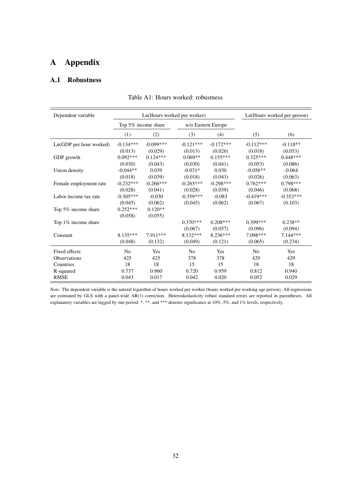# A Appendix

#### A.1 Robustness

| Dependent variable      | Ln(Hours worked per worker) |                     |                | Ln(Hours worked per person) |                |             |
|-------------------------|-----------------------------|---------------------|----------------|-----------------------------|----------------|-------------|
|                         |                             | Top 5% income share |                | w/o Eastern Europe          |                |             |
|                         | (1)                         | (2)                 | (3)            | (4)                         | (5)            | (6)         |
| Ln(GDP per hour worked) | $-0.134***$                 | $-0.099***$         | $-0.121***$    | $-0.172***$                 | $-0.112***$    | $-0.118**$  |
|                         | (0.013)                     | (0.029)             | (0.013)        | (0.026)                     | (0.018)        | (0.053)     |
| GDP growth              | $0.092***$                  | $0.124***$          | $0.069**$      | $0.155***$                  | $0.325***$     | $0.448***$  |
|                         | (0.030)                     | (0.043)             | (0.030)        | (0.041)                     | (0.053)        | (0.086)     |
| Union density           | $-0.044**$                  | 0.039               | $-0.031*$      | 0.030                       | $-0.056**$     | $-0.064$    |
|                         | (0.018)                     | (0.039)             | (0.018)        | (0.043)                     | (0.026)        | (0.063)     |
| Female employment rate  | $-0.232***$                 | $-0.266***$         | $-0.263***$    | $-0.298***$                 | $0.762***$     | $0.798***$  |
|                         | (0.028)                     | (0.041)             | (0.028)        | (0.039)                     | (0.046)        | (0.068)     |
| Labor income tax rate   | $-0.305***$                 | $-0.030$            | $-0.359***$    | $-0.083$                    | $-0.419***$    | $-0.352***$ |
|                         | (0.045)                     | (0.062)             | (0.045)        | (0.062)                     | (0.067)        | (0.103)     |
| Top 5% income share     | $0.252***$                  | $0.120**$           |                |                             |                |             |
|                         | (0.058)                     | (0.055)             |                |                             |                |             |
| Top 1% income share     |                             |                     | $0.370***$     | $0.208***$                  | $0.399***$     | $0.238**$   |
|                         |                             |                     | (0.067)        | (0.057)                     | (0.096)        | (0.094)     |
| Constant                | $8.135***$                  | 7.911***            | $8.132***$     | 8.236***                    | 7.098***       | $7.144***$  |
|                         | (0.048)                     | (0.132)             | (0.049)        | (0.121)                     | (0.065)        | (0.234)     |
| Fixed effects           | N <sub>0</sub>              | Yes                 | N <sub>0</sub> | Yes                         | N <sub>0</sub> | Yes         |
| <b>Observations</b>     | 425                         | 425                 | 378            | 378                         | 429            | 429         |
| Countries               | 18                          | 18                  | 15             | 15                          | 18             | 18          |
| R-squared               | 0.737                       | 0.960               | 0.720          | 0.959                       | 0.812          | 0.940       |
| <b>RMSE</b>             | 0.043                       | 0.017               | 0.042          | 0.020                       | 0.052          | 0.029       |

Table A1: Hours worked: robustness

*Note*: The dependent variable is the natural logarithm of hours worked per worker (hours worked per working age person). All regressions are estimated by GLS with a panel-wide AR(1) correction. Heteroskedasticity robust standard errors are reported in parentheses. All explanatory variables are lagged by one period. \*, \*\*, and \*\*\* denotes significance at 10%, 5%, and 1% levels, respectively.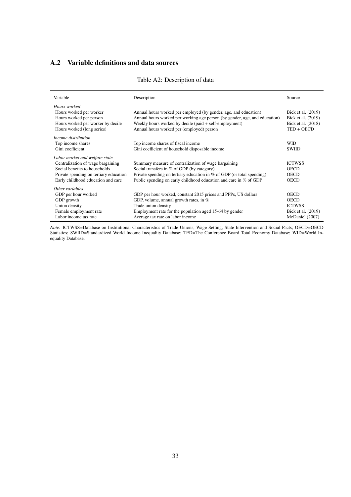### A.2 Variable definitions and data sources

#### Table A2: Description of data

| Variable                               | Description                                                                | Source             |
|----------------------------------------|----------------------------------------------------------------------------|--------------------|
| Hours worked                           |                                                                            |                    |
| Hours worked per worker                | Annual hours worked per employed (by gender, age, and education)           | Bick et al. (2019) |
| Hours worked per person                | Annual hours worked per working age person (by gender, age, and education) | Bick et al. (2019) |
| Hours worked per worker by decile      | Weekly hours worked by decile (paid + self-employment)                     | Bick et al. (2018) |
| Hours worked (long series)             | Annual hours worked per (employed) person                                  | $TED + OECD$       |
| Income distribution                    |                                                                            |                    |
| Top income shares                      | Top income shares of fiscal income                                         | <b>WID</b>         |
| Gini coefficient                       | Gini coefficient of household disposable income                            | <b>SWIID</b>       |
| Labor market and welfare state         |                                                                            |                    |
| Centralization of wage bargaining      | Summary measure of centralization of wage bargaining                       | <b>ICTWSS</b>      |
| Social benefits to households          | Social transfers in % of GDP (by category)                                 | <b>OECD</b>        |
| Private spending on tertiary education | Private spending on tertiary education in $\%$ of GDP (or total spending)  | <b>OECD</b>        |
| Early childhood education and care     | Public spending on early childhood education and care in % of GDP          | <b>OECD</b>        |
| Other variables                        |                                                                            |                    |
| GDP per hour worked                    | GDP per hour worked, constant 2015 prices and PPPs, US dollars             | <b>OECD</b>        |
| GDP growth                             | GDP, volume, annual growth rates, in $%$                                   | <b>OECD</b>        |
| Union density                          | Trade union density                                                        | <b>ICTWSS</b>      |
| Female employment rate                 | Employment rate for the population aged 15-64 by gender                    | Bick et al. (2019) |
| Labor income tax rate                  | Average tax rate on labor income                                           | McDaniel (2007)    |

*Note*: ICTWSS=Database on Institutional Characteristics of Trade Unions, Wage Setting, State Intervention and Social Pacts; OECD=OECD Statistics; SWIID=Standardized World Income Inequality Database; TED=The Conference Board Total Economy Database; WID=World Inequality Database.